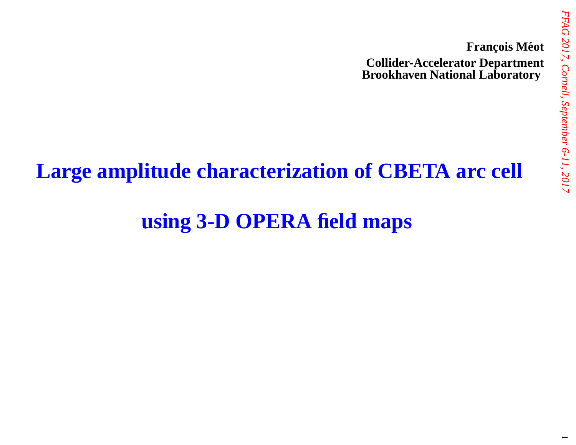# **Large amplitude characterization of CBETA arc cell**

# **using 3-D OPERA field maps**

 $\overline{\phantom{0}}$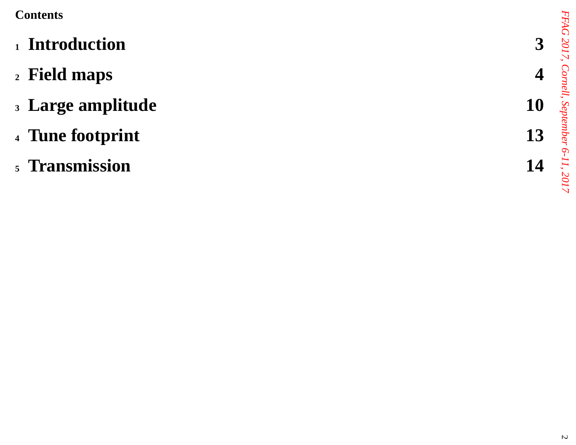**Contents**

- **1 Introduction<sup>3</sup>**
- **2 Field maps<sup>4</sup>**
- **3 Large amplitude<sup>10</sup>**
- **4 Tune footprint<sup>13</sup>**
- **5 Transmission<sup>14</sup>**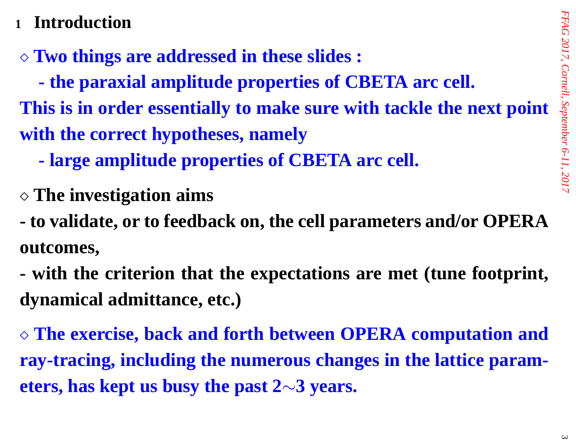### **1Introduction**

⋄ **Two things are addressed in these slides :**

 **the paraxial amplitude properties of CBETA arc cell.** This is in order essentially to make sure with tackle the next point **with the correct hypotheses, namely**

 **large amplitude properties of CBETA arc cell.**

⋄ **The investigation aims**

 **to validate, or to feedback on, the cell parameters and/or OPERAoutcomes,**

 **with the criterion that the expectations are met (tune footprint, dynamical admittance, etc.)**

⋄ **The exercise, back and forth between OPERA computation andray-tracing, including the numerous changes in the lattice param***eters, has kept <b>us busy the past 2* $\sim$ *3 years.*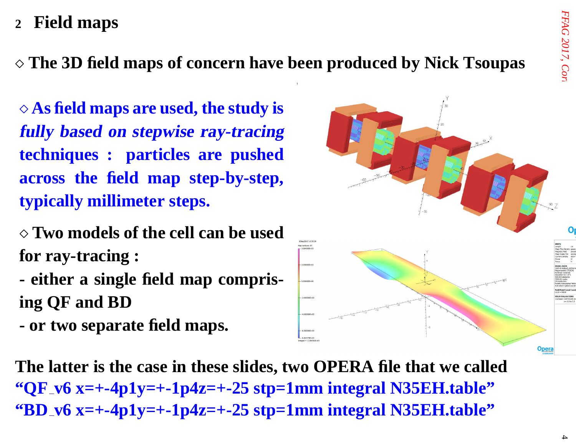## **2 Field maps**

# $\diamond$  The 3D field maps of concern have been produced by Nick Tsoupas

⋄ **As field maps are used, the study is fully based on stepwise ray-tracingtechniques : particles are pushedacross the field map step-by-step, typically millimeter steps.**

⋄ **Two models of the cell can be usedfor ray-tracing :**

- **either <sup>a</sup> single field map comprising QF and BD**
- **-** or two senar  **or two separate field maps.**



The latter is the case in these slides, two OPERA file that we called **"QF v6 x=+-4p1y=+-1p4z=+-25 stp=1mm integral N35EH.table" "BD v6 x=+-4p1y=+-1p4z=+-25 stp=1mm integral N35EH.table"**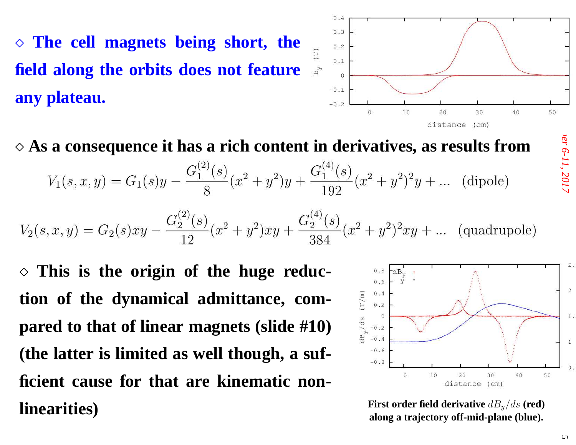⋄ **The cell magnets being short, the field along the orbits does not featureany plateau.**

 $\diamond$  As a consequence it has a rich content in derivatives, as results from  $V_1(s, x, y) = G_1(s)y - \frac{G_1^{(2)}(s)}{s}(x^2 + y^2)y + \frac{G_1^{(4)}(s)}{102}(x^2 + y^2)^2y + \dots$  (dipole)  $V_2(s,x,y) = G_2(s)xy - \frac{G_2^{(2)}(s)}{12}(x^2+y^2)xy + \frac{G_2^{(4)}(s)}{384}(x^2+y^2)^2xy + \dots$  (quadrupole)

 $(1)$ 

⋄ **This is the origin of the huge reduction of the dynamical admittance, compared to that of linear magnets (slide #10)(the latter is limited as well though, <sup>a</sup> sufficient cause for that are kinematic nonlinearities)**

**First order field derivative**  $dB_y/ds$  (**red)** along a trajectory off-mid-plane (blue).

er 6-11, 201



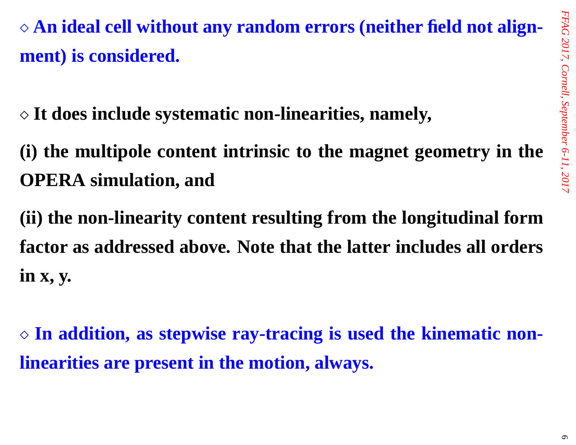⋄ **An ideal cell without any random errors (neither field not alignment) is considered.**

⋄ **It does include systematic non-linearities, namely,**

**(i) the multipole content intrinsic to the magnet geometry in theOPERA simulation, and**

**(ii) the non-linearity content resulting from the longitudinal form factor as addressed above. Note that the latter includes all ordersin x, y.**

⋄ **In addition, as stepwise ray-tracing is used the kinematic nonlinearities are present in the motion, always.**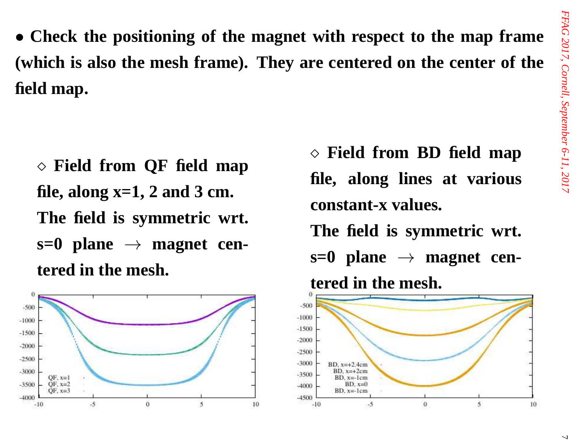• Check the positioning of the magnet with respect to the map frame (which is also the mesh frame). They are centered on the center of the **field map.**

⋄ **Field from QF field mapfile, along x=1, 2 and 3 cm. The field is symmetric wrt. s=0 plane** <sup>→</sup> **magnet centered in the mesh.**



⋄ **Field from BD field mapfile, along lines at variousconstant-x values.**

**The field is symmetric wrt. s=0 plane** <sup>→</sup> **magnet cen-**

**tered in the mesh.**

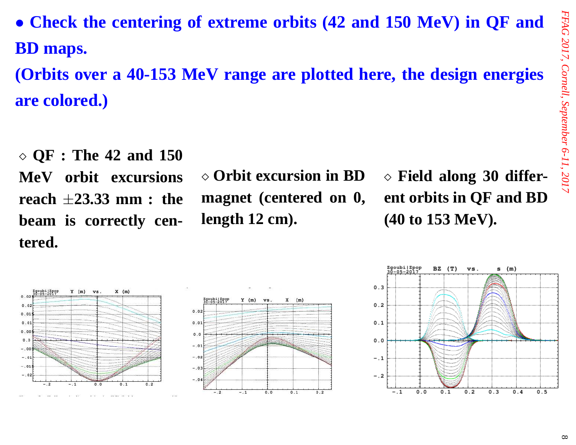• Check the centering of extreme orbits (42 and 150 MeV) in QF and **BD maps.**

(Orbits over a 40-153 MeV range are plotted here, the design energies **are colored.)**

⋄ **QF : The <sup>42</sup> and <sup>150</sup>MeV orbit excursionsreach** <sup>±</sup>**23.33 mm : the beam is correctly centered.**

⋄ **Orbit excursion in BD magnet (centered on 0, length 12 cm).**

⋄ **Field along <sup>30</sup> different orbits in QF and BD(40 to 153 MeV).**





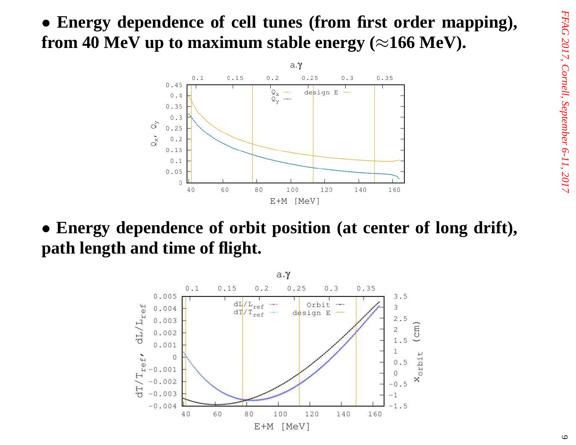### • **Energy dependence of cell tunes (from first order mapping), from** 40 MeV up to maximum stable energy  $(\approx 166 \text{ MeV})$ .



• **Energy dependence of orbit position (at center of long drift), path length and time of flight.**

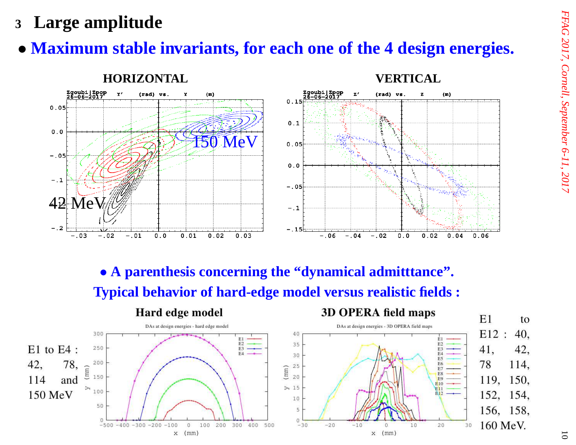



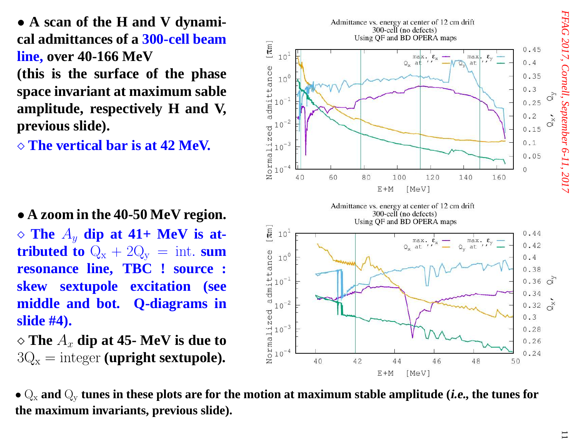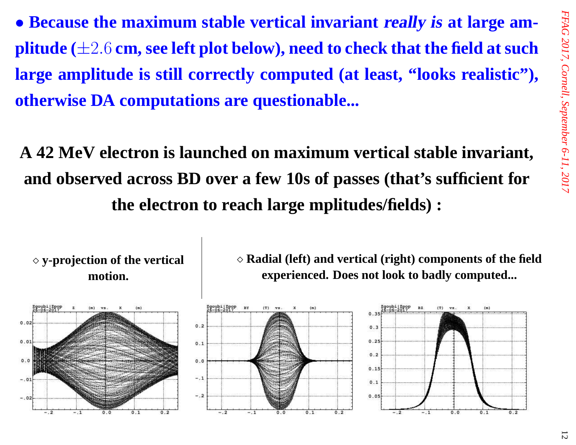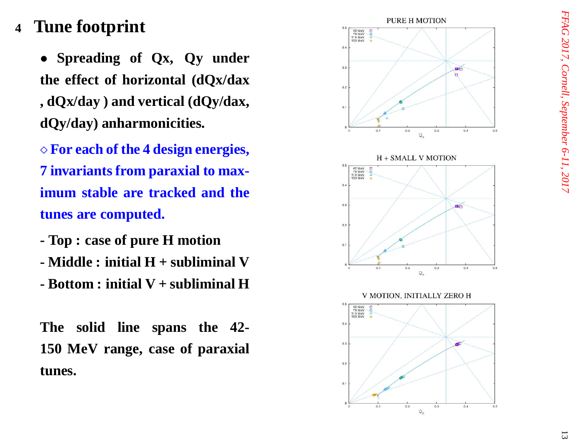- 
- 
-